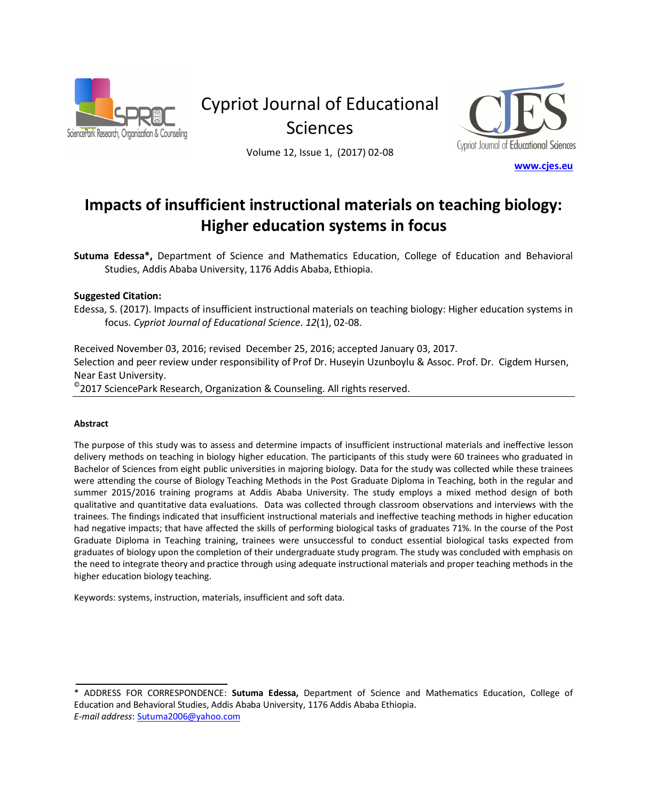

Cypriot Journal of Educational **Sciences** 



Volume 12, Issue 1, (2017) 02-08

#### www.cjes.eu

# Impacts of insufficient instructional materials on teaching biology: **Higher education systems in focus**

Sutuma Edessa\*, Department of Science and Mathematics Education, College of Education and Behavioral Studies, Addis Ababa University, 1176 Addis Ababa, Ethiopia.

#### **Suggested Citation:**

Edessa, S. (2017). Impacts of insufficient instructional materials on teaching biology: Higher education systems in focus. Cypriot Journal of Educational Science. 12(1), 02-08.

Received November 03, 2016; revised December 25, 2016; accepted January 03, 2017. Selection and peer review under responsibility of Prof Dr. Huseyin Uzunboylu & Assoc. Prof. Dr. Cigdem Hursen, Near East University.

 $^\circ$ 2017 SciencePark Research, Organization & Counseling. All rights reserved.

#### Abstract

The purpose of this study was to assess and determine impacts of insufficient instructional materials and ineffective lesson delivery methods on teaching in biology higher education. The participants of this study were 60 trainees who graduated in Bachelor of Sciences from eight public universities in majoring biology. Data for the study was collected while these trainees were attending the course of Biology Teaching Methods in the Post Graduate Diploma in Teaching, both in the regular and summer 2015/2016 training programs at Addis Ababa University. The study employs a mixed method design of both qualitative and quantitative data evaluations. Data was collected through classroom observations and interviews with the trainees. The findings indicated that insufficient instructional materials and ineffective teaching methods in higher education had negative impacts; that have affected the skills of performing biological tasks of graduates 71%. In the course of the Post Graduate Diploma in Teaching training, trainees were unsuccessful to conduct essential biological tasks expected from graduates of biology upon the completion of their undergraduate study program. The study was concluded with emphasis on the need to integrate theory and practice through using adequate instructional materials and proper teaching methods in the higher education biology teaching.

Keywords: systems, instruction, materials, insufficient and soft data.

<sup>\*</sup> ADDRESS FOR CORRESPONDENCE: Sutuma Edessa, Department of Science and Mathematics Education, College of Education and Behavioral Studies, Addis Ababa University, 1176 Addis Ababa Ethiopia. *E-mail address: Sutuma2006@yahoo.com*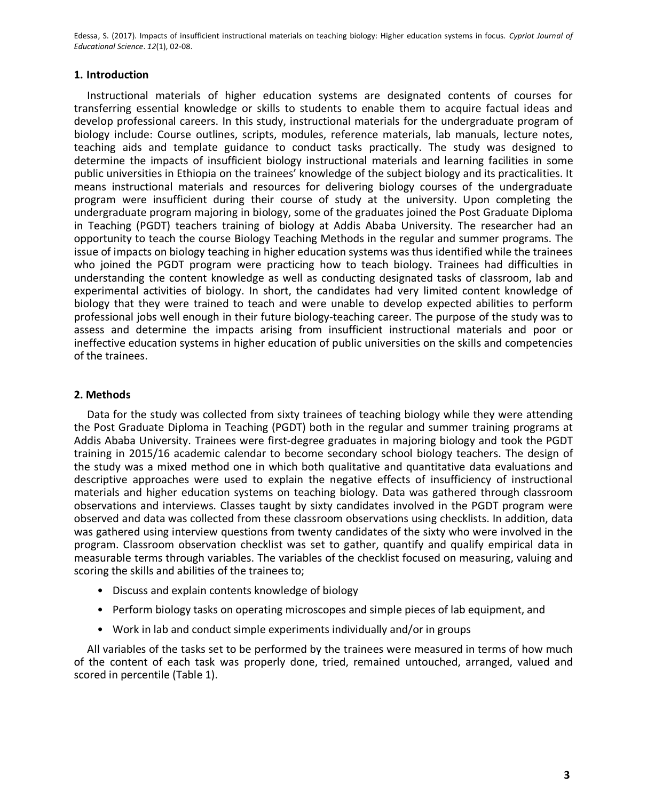### **1.** Introduction

Instructional materials of higher education systems are designated contents of courses for transferring essential knowledge or skills to students to enable them to acquire factual ideas and develop professional careers. In this study, instructional materials for the undergraduate program of biology include: Course outlines, scripts, modules, reference materials, lab manuals, lecture notes, teaching aids and template guidance to conduct tasks practically. The study was designed to determine the impacts of insufficient biology instructional materials and learning facilities in some public universities in Ethiopia on the trainees' knowledge of the subject biology and its practicalities. It means instructional materials and resources for delivering biology courses of the undergraduate program were insufficient during their course of study at the university. Upon completing the undergraduate program majoring in biology, some of the graduates joined the Post Graduate Diploma in Teaching (PGDT) teachers training of biology at Addis Ababa University. The researcher had an opportunity to teach the course Biology Teaching Methods in the regular and summer programs. The issue of impacts on biology teaching in higher education systems was thus identified while the trainees who joined the PGDT program were practicing how to teach biology. Trainees had difficulties in understanding the content knowledge as well as conducting designated tasks of classroom, lab and experimental activities of biology. In short, the candidates had very limited content knowledge of biology that they were trained to teach and were unable to develop expected abilities to perform professional jobs well enough in their future biology-teaching career. The purpose of the study was to assess and determine the impacts arising from insufficient instructional materials and poor or ineffective education systems in higher education of public universities on the skills and competencies of the trainees.

## **2. Methods**

Data for the study was collected from sixty trainees of teaching biology while they were attending the Post Graduate Diploma in Teaching (PGDT) both in the regular and summer training programs at Addis Ababa University. Trainees were first-degree graduates in majoring biology and took the PGDT training in 2015/16 academic calendar to become secondary school biology teachers. The design of the study was a mixed method one in which both qualitative and quantitative data evaluations and descriptive approaches were used to explain the negative effects of insufficiency of instructional materials and higher education systems on teaching biology. Data was gathered through classroom observations and interviews. Classes taught by sixty candidates involved in the PGDT program were observed and data was collected from these classroom observations using checklists. In addition, data was gathered using interview questions from twenty candidates of the sixty who were involved in the program. Classroom observation checklist was set to gather, quantify and qualify empirical data in measurable terms through variables. The variables of the checklist focused on measuring, valuing and scoring the skills and abilities of the trainees to;

- Discuss and explain contents knowledge of biology
- Perform biology tasks on operating microscopes and simple pieces of lab equipment, and
- Work in lab and conduct simple experiments individually and/or in groups

All variables of the tasks set to be performed by the trainees were measured in terms of how much of the content of each task was properly done, tried, remained untouched, arranged, valued and scored in percentile (Table 1).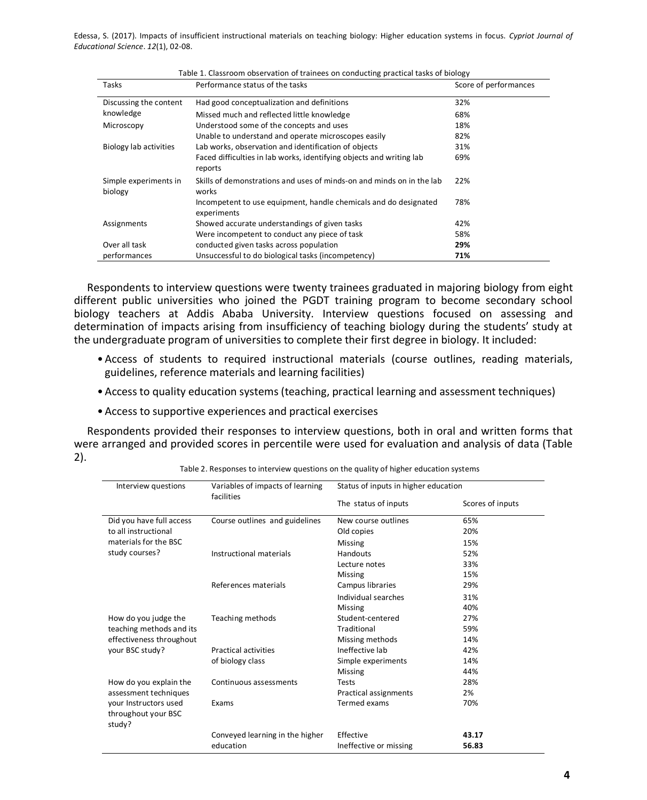| Tasks                            | Performance status of the tasks                                                 | Score of performances |
|----------------------------------|---------------------------------------------------------------------------------|-----------------------|
| Discussing the content           | Had good conceptualization and definitions                                      | 32%                   |
| knowledge                        | Missed much and reflected little knowledge                                      | 68%                   |
| Microscopy                       | Understood some of the concepts and uses                                        | 18%                   |
|                                  | Unable to understand and operate microscopes easily                             | 82%                   |
| Biology lab activities           | Lab works, observation and identification of objects                            | 31%                   |
|                                  | Faced difficulties in lab works, identifying objects and writing lab<br>reports | 69%                   |
| Simple experiments in<br>biology | Skills of demonstrations and uses of minds-on and minds on in the lab<br>works  | 22%                   |
|                                  | Incompetent to use equipment, handle chemicals and do designated<br>experiments | 78%                   |
| Assignments                      | Showed accurate understandings of given tasks                                   | 42%                   |
|                                  | Were incompetent to conduct any piece of task                                   | 58%                   |
| Over all task                    | conducted given tasks across population                                         | 29%                   |
| performances                     | Unsuccessful to do biological tasks (incompetency)                              | 71%                   |

Table 1. Classroom observation of trainees on conducting practical tasks of biology

Respondents to interview questions were twenty trainees graduated in majoring biology from eight different public universities who joined the PGDT training program to become secondary school biology teachers at Addis Ababa University. Interview questions focused on assessing and determination of impacts arising from insufficiency of teaching biology during the students' study at the undergraduate program of universities to complete their first degree in biology. It included:

- Access of students to required instructional materials (course outlines, reading materials, guidelines, reference materials and learning facilities)
- Access to quality education systems (teaching, practical learning and assessment techniques)
- Access to supportive experiences and practical exercises

Respondents provided their responses to interview questions, both in oral and written forms that were arranged and provided scores in percentile were used for evaluation and analysis of data (Table  $2$ ).

| Interview questions                                                                             | Variables of impacts of learning<br>facilities | Status of inputs in higher education |                  |
|-------------------------------------------------------------------------------------------------|------------------------------------------------|--------------------------------------|------------------|
|                                                                                                 |                                                | The status of inputs                 | Scores of inputs |
| Did you have full access                                                                        | Course outlines and guidelines                 | New course outlines                  | 65%              |
| to all instructional                                                                            |                                                | Old copies                           | 20%              |
| materials for the BSC                                                                           |                                                | <b>Missing</b>                       | 15%              |
| study courses?                                                                                  | Instructional materials                        | Handouts                             | 52%              |
|                                                                                                 |                                                | Lecture notes                        | 33%              |
|                                                                                                 |                                                | Missing                              | 15%              |
|                                                                                                 | References materials                           | Campus libraries                     | 29%              |
|                                                                                                 |                                                | Individual searches                  | 31%              |
|                                                                                                 |                                                | <b>Missing</b>                       | 40%              |
| How do you judge the<br>teaching methods and its<br>effectiveness throughout<br>your BSC study? | Teaching methods                               | Student-centered                     | 27%              |
|                                                                                                 |                                                | Traditional                          | 59%              |
|                                                                                                 |                                                | Missing methods                      | 14%              |
|                                                                                                 | <b>Practical activities</b>                    | Ineffective lab                      | 42%              |
|                                                                                                 | of biology class                               | Simple experiments                   | 14%              |
|                                                                                                 |                                                | <b>Missing</b>                       | 44%              |
| How do you explain the                                                                          | Continuous assessments                         | Tests                                | 28%              |
| assessment techniques                                                                           |                                                | Practical assignments                | 2%               |
| your Instructors used                                                                           | Exams                                          | Termed exams                         | 70%              |
| throughout your BSC<br>study?                                                                   |                                                |                                      |                  |
|                                                                                                 | Conveyed learning in the higher                | Effective                            | 43.17            |
|                                                                                                 | education                                      | Ineffective or missing               | 56.83            |

Table 2. Responses to interview questions on the quality of higher education systems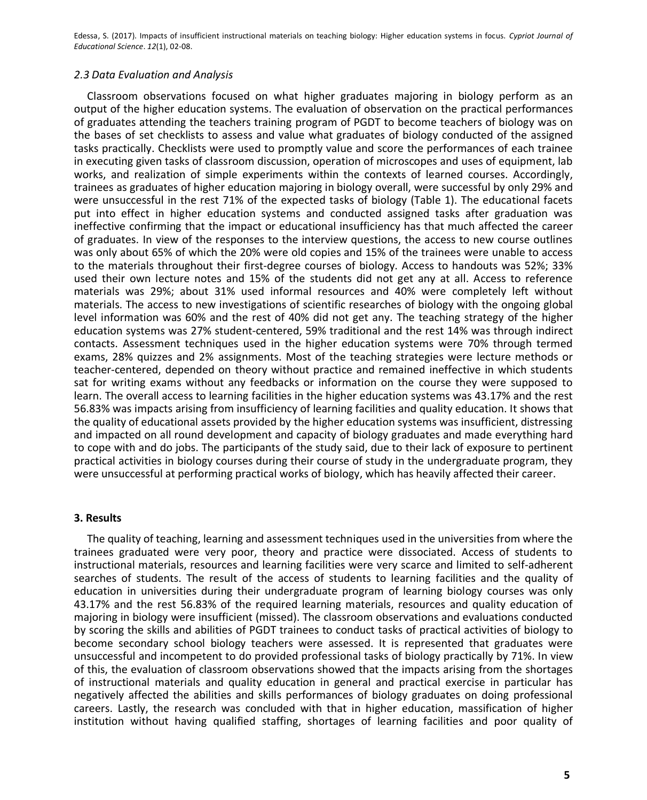#### 2.3 Data Evaluation and Analysis

Classroom observations focused on what higher graduates majoring in biology perform as an output of the higher education systems. The evaluation of observation on the practical performances of graduates attending the teachers training program of PGDT to become teachers of biology was on the bases of set checklists to assess and value what graduates of biology conducted of the assigned tasks practically. Checklists were used to promptly value and score the performances of each trainee in executing given tasks of classroom discussion, operation of microscopes and uses of equipment, lab works, and realization of simple experiments within the contexts of learned courses. Accordingly, trainees as graduates of higher education majoring in biology overall, were successful by only 29% and were unsuccessful in the rest 71% of the expected tasks of biology (Table 1). The educational facets put into effect in higher education systems and conducted assigned tasks after graduation was ineffective confirming that the impact or educational insufficiency has that much affected the career of graduates. In view of the responses to the interview questions, the access to new course outlines was only about 65% of which the 20% were old copies and 15% of the trainees were unable to access to the materials throughout their first-degree courses of biology. Access to handouts was 52%; 33% used their own lecture notes and 15% of the students did not get any at all. Access to reference materials was 29%; about 31% used informal resources and 40% were completely left without materials. The access to new investigations of scientific researches of biology with the ongoing global level information was 60% and the rest of 40% did not get any. The teaching strategy of the higher education systems was 27% student-centered, 59% traditional and the rest 14% was through indirect contacts. Assessment techniques used in the higher education systems were 70% through termed exams, 28% quizzes and 2% assignments. Most of the teaching strategies were lecture methods or teacher-centered, depended on theory without practice and remained ineffective in which students sat for writing exams without any feedbacks or information on the course they were supposed to learn. The overall access to learning facilities in the higher education systems was 43.17% and the rest 56.83% was impacts arising from insufficiency of learning facilities and quality education. It shows that the quality of educational assets provided by the higher education systems was insufficient, distressing and impacted on all round development and capacity of biology graduates and made everything hard to cope with and do jobs. The participants of the study said, due to their lack of exposure to pertinent practical activities in biology courses during their course of study in the undergraduate program, they were unsuccessful at performing practical works of biology, which has heavily affected their career.

### **3. Results**

The quality of teaching, learning and assessment techniques used in the universities from where the trainees graduated were very poor, theory and practice were dissociated. Access of students to instructional materials, resources and learning facilities were very scarce and limited to self-adherent searches of students. The result of the access of students to learning facilities and the quality of education in universities during their undergraduate program of learning biology courses was only 43.17% and the rest 56.83% of the required learning materials, resources and quality education of majoring in biology were insufficient (missed). The classroom observations and evaluations conducted by scoring the skills and abilities of PGDT trainees to conduct tasks of practical activities of biology to become secondary school biology teachers were assessed. It is represented that graduates were unsuccessful and incompetent to do provided professional tasks of biology practically by 71%. In view of this, the evaluation of classroom observations showed that the impacts arising from the shortages of instructional materials and quality education in general and practical exercise in particular has negatively affected the abilities and skills performances of biology graduates on doing professional careers. Lastly, the research was concluded with that in higher education, massification of higher institution without having qualified staffing, shortages of learning facilities and poor quality of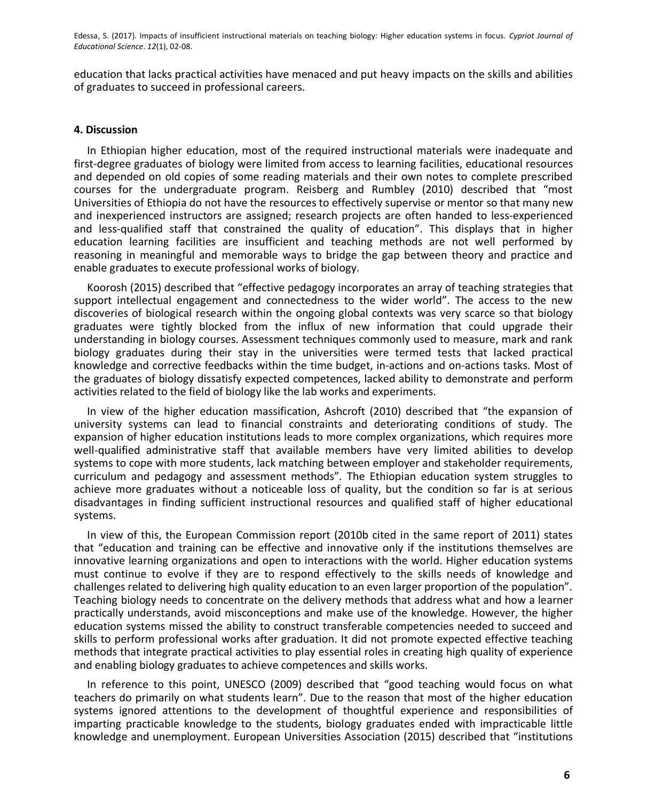education that lacks practical activities have menaced and put heavy impacts on the skills and abilities of graduates to succeed in professional careers.

## **4. Discussion**

In Ethiopian higher education, most of the required instructional materials were inadequate and first-degree graduates of biology were limited from access to learning facilities, educational resources and depended on old copies of some reading materials and their own notes to complete prescribed courses for the undergraduate program. Reisberg and Rumbley (2010) described that "most Universities of Ethiopia do not have the resources to effectively supervise or mentor so that many new and inexperienced instructors are assigned; research projects are often handed to less-experienced and less-qualified staff that constrained the quality of education". This displays that in higher education learning facilities are insufficient and teaching methods are not well performed by reasoning in meaningful and memorable ways to bridge the gap between theory and practice and enable graduates to execute professional works of biology.

Koorosh (2015) described that "effective pedagogy incorporates an array of teaching strategies that support intellectual engagement and connectedness to the wider world". The access to the new discoveries of biological research within the ongoing global contexts was very scarce so that biology graduates were tightly blocked from the influx of new information that could upgrade their understanding in biology courses. Assessment techniques commonly used to measure, mark and rank biology graduates during their stay in the universities were termed tests that lacked practical knowledge and corrective feedbacks within the time budget, in-actions and on-actions tasks. Most of the graduates of biology dissatisfy expected competences, lacked ability to demonstrate and perform activities related to the field of biology like the lab works and experiments.

In view of the higher education massification, Ashcroft (2010) described that "the expansion of university systems can lead to financial constraints and deteriorating conditions of study. The expansion of higher education institutions leads to more complex organizations, which requires more well-qualified administrative staff that available members have very limited abilities to develop systems to cope with more students, lack matching between employer and stakeholder requirements, curriculum and pedagogy and assessment methods". The Ethiopian education system struggles to achieve more graduates without a noticeable loss of quality, but the condition so far is at serious disadvantages in finding sufficient instructional resources and qualified staff of higher educational systems.

In view of this, the European Commission report (2010b cited in the same report of 2011) states that "education and training can be effective and innovative only if the institutions themselves are innovative learning organizations and open to interactions with the world. Higher education systems must continue to evolve if they are to respond effectively to the skills needs of knowledge and challenges related to delivering high quality education to an even larger proportion of the population". Teaching biology needs to concentrate on the delivery methods that address what and how a learner practically understands, avoid misconceptions and make use of the knowledge. However, the higher education systems missed the ability to construct transferable competencies needed to succeed and skills to perform professional works after graduation. It did not promote expected effective teaching methods that integrate practical activities to play essential roles in creating high quality of experience and enabling biology graduates to achieve competences and skills works.

In reference to this point, UNESCO (2009) described that "good teaching would focus on what teachers do primarily on what students learn". Due to the reason that most of the higher education systems ignored attentions to the development of thoughtful experience and responsibilities of imparting practicable knowledge to the students, biology graduates ended with impracticable little knowledge and unemployment. European Universities Association (2015) described that "institutions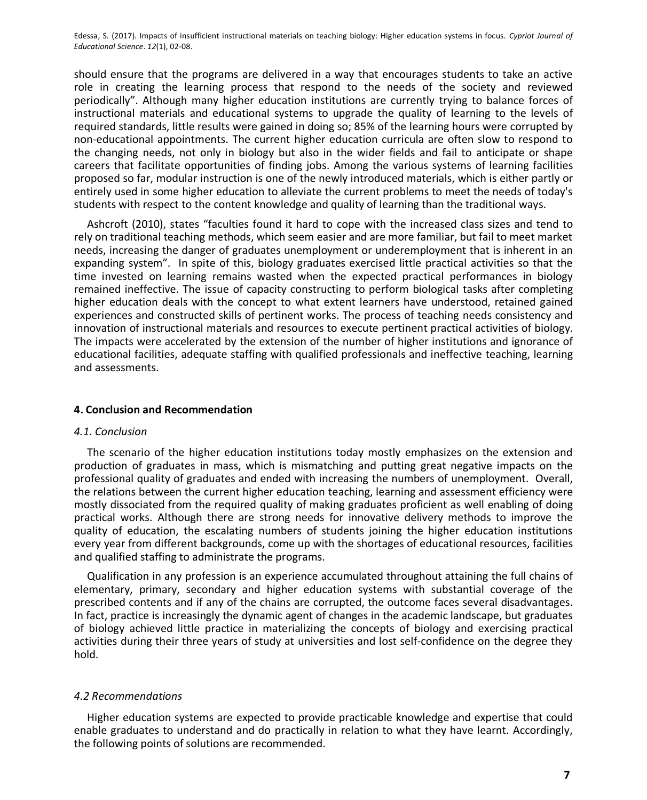should ensure that the programs are delivered in a way that encourages students to take an active role in creating the learning process that respond to the needs of the society and reviewed periodically". Although many higher education institutions are currently trying to balance forces of instructional materials and educational systems to upgrade the quality of learning to the levels of required standards, little results were gained in doing so; 85% of the learning hours were corrupted by non-educational appointments. The current higher education curricula are often slow to respond to the changing needs, not only in biology but also in the wider fields and fail to anticipate or shape careers that facilitate opportunities of finding jobs. Among the various systems of learning facilities proposed so far, modular instruction is one of the newly introduced materials, which is either partly or entirely used in some higher education to alleviate the current problems to meet the needs of today's students with respect to the content knowledge and quality of learning than the traditional ways.

Ashcroft (2010), states "faculties found it hard to cope with the increased class sizes and tend to rely on traditional teaching methods, which seem easier and are more familiar, but fail to meet market needs, increasing the danger of graduates unemployment or underemployment that is inherent in an expanding system". In spite of this, biology graduates exercised little practical activities so that the time invested on learning remains wasted when the expected practical performances in biology remained ineffective. The issue of capacity constructing to perform biological tasks after completing higher education deals with the concept to what extent learners have understood, retained gained experiences and constructed skills of pertinent works. The process of teaching needs consistency and innovation of instructional materials and resources to execute pertinent practical activities of biology. The impacts were accelerated by the extension of the number of higher institutions and ignorance of educational facilities, adequate staffing with qualified professionals and ineffective teaching, learning and assessments.

### **4. Conclusion and Recommendation**

### 4.1. Conclusion

The scenario of the higher education institutions today mostly emphasizes on the extension and production of graduates in mass, which is mismatching and putting great negative impacts on the professional quality of graduates and ended with increasing the numbers of unemployment. Overall, the relations between the current higher education teaching, learning and assessment efficiency were mostly dissociated from the required quality of making graduates proficient as well enabling of doing practical works. Although there are strong needs for innovative delivery methods to improve the quality of education, the escalating numbers of students joining the higher education institutions every year from different backgrounds, come up with the shortages of educational resources, facilities and qualified staffing to administrate the programs.

Qualification in any profession is an experience accumulated throughout attaining the full chains of elementary, primary, secondary and higher education systems with substantial coverage of the prescribed contents and if any of the chains are corrupted, the outcome faces several disadvantages. In fact, practice is increasingly the dynamic agent of changes in the academic landscape, but graduates of biology achieved little practice in materializing the concepts of biology and exercising practical activities during their three years of study at universities and lost self-confidence on the degree they hold.

### 4.2 Recommendations

Higher education systems are expected to provide practicable knowledge and expertise that could enable graduates to understand and do practically in relation to what they have learnt. Accordingly, the following points of solutions are recommended.